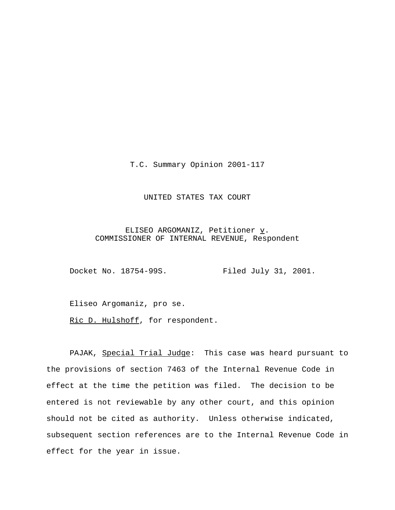T.C. Summary Opinion 2001-117

## UNITED STATES TAX COURT

ELISEO ARGOMANIZ, Petitioner  $\underline{v}$ . COMMISSIONER OF INTERNAL REVENUE, Respondent

Docket No. 18754-99S. Filed July 31, 2001.

Eliseo Argomaniz, pro se.

Ric D. Hulshoff, for respondent.

PAJAK, Special Trial Judge: This case was heard pursuant to the provisions of section 7463 of the Internal Revenue Code in effect at the time the petition was filed. The decision to be entered is not reviewable by any other court, and this opinion should not be cited as authority. Unless otherwise indicated, subsequent section references are to the Internal Revenue Code in effect for the year in issue.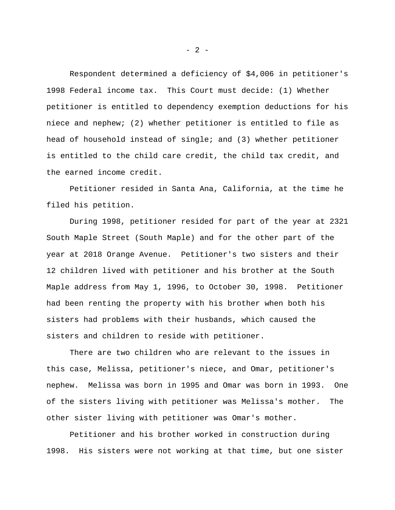Respondent determined a deficiency of \$4,006 in petitioner's 1998 Federal income tax. This Court must decide: (1) Whether petitioner is entitled to dependency exemption deductions for his niece and nephew; (2) whether petitioner is entitled to file as head of household instead of single; and (3) whether petitioner is entitled to the child care credit, the child tax credit, and the earned income credit.

Petitioner resided in Santa Ana, California, at the time he filed his petition.

During 1998, petitioner resided for part of the year at 2321 South Maple Street (South Maple) and for the other part of the year at 2018 Orange Avenue. Petitioner's two sisters and their 12 children lived with petitioner and his brother at the South Maple address from May 1, 1996, to October 30, 1998. Petitioner had been renting the property with his brother when both his sisters had problems with their husbands, which caused the sisters and children to reside with petitioner.

There are two children who are relevant to the issues in this case, Melissa, petitioner's niece, and Omar, petitioner's nephew. Melissa was born in 1995 and Omar was born in 1993. One of the sisters living with petitioner was Melissa's mother. The other sister living with petitioner was Omar's mother.

Petitioner and his brother worked in construction during 1998. His sisters were not working at that time, but one sister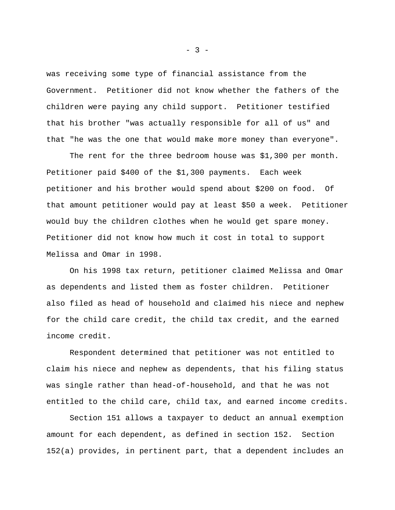was receiving some type of financial assistance from the Government. Petitioner did not know whether the fathers of the children were paying any child support. Petitioner testified that his brother "was actually responsible for all of us" and that "he was the one that would make more money than everyone".

The rent for the three bedroom house was \$1,300 per month. Petitioner paid \$400 of the \$1,300 payments. Each week petitioner and his brother would spend about \$200 on food. Of that amount petitioner would pay at least \$50 a week. Petitioner would buy the children clothes when he would get spare money. Petitioner did not know how much it cost in total to support Melissa and Omar in 1998.

On his 1998 tax return, petitioner claimed Melissa and Omar as dependents and listed them as foster children. Petitioner also filed as head of household and claimed his niece and nephew for the child care credit, the child tax credit, and the earned income credit.

Respondent determined that petitioner was not entitled to claim his niece and nephew as dependents, that his filing status was single rather than head-of-household, and that he was not entitled to the child care, child tax, and earned income credits.

Section 151 allows a taxpayer to deduct an annual exemption amount for each dependent, as defined in section 152. Section 152(a) provides, in pertinent part, that a dependent includes an

 $- 3 -$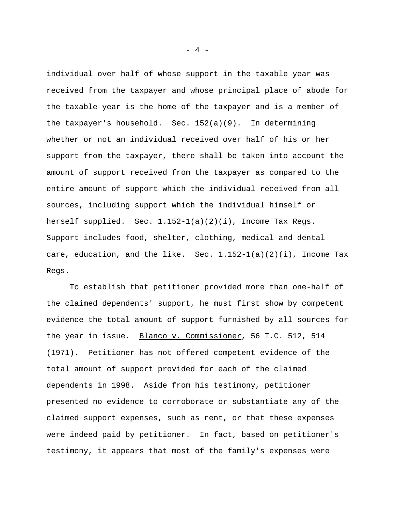individual over half of whose support in the taxable year was received from the taxpayer and whose principal place of abode for the taxable year is the home of the taxpayer and is a member of the taxpayer's household. Sec. 152(a)(9). In determining whether or not an individual received over half of his or her support from the taxpayer, there shall be taken into account the amount of support received from the taxpayer as compared to the entire amount of support which the individual received from all sources, including support which the individual himself or herself supplied. Sec. 1.152-1(a)(2)(i), Income Tax Regs. Support includes food, shelter, clothing, medical and dental care, education, and the like. Sec. 1.152-1(a)(2)(i), Income Tax Regs.

To establish that petitioner provided more than one-half of the claimed dependents' support, he must first show by competent evidence the total amount of support furnished by all sources for the year in issue. Blanco v. Commissioner, 56 T.C. 512, 514 (1971). Petitioner has not offered competent evidence of the total amount of support provided for each of the claimed dependents in 1998. Aside from his testimony, petitioner presented no evidence to corroborate or substantiate any of the claimed support expenses, such as rent, or that these expenses were indeed paid by petitioner. In fact, based on petitioner's testimony, it appears that most of the family's expenses were

- 4 -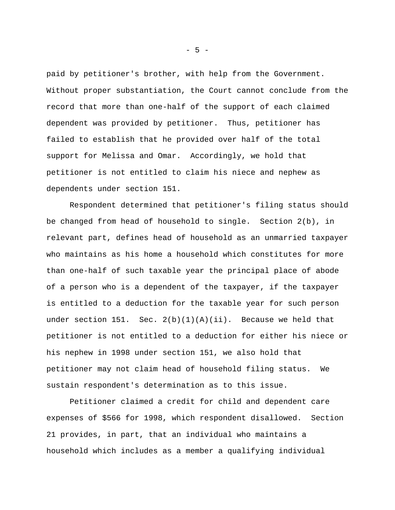paid by petitioner's brother, with help from the Government. Without proper substantiation, the Court cannot conclude from the record that more than one-half of the support of each claimed dependent was provided by petitioner. Thus, petitioner has failed to establish that he provided over half of the total support for Melissa and Omar. Accordingly, we hold that petitioner is not entitled to claim his niece and nephew as dependents under section 151.

Respondent determined that petitioner's filing status should be changed from head of household to single. Section 2(b), in relevant part, defines head of household as an unmarried taxpayer who maintains as his home a household which constitutes for more than one-half of such taxable year the principal place of abode of a person who is a dependent of the taxpayer, if the taxpayer is entitled to a deduction for the taxable year for such person under section 151. Sec.  $2(b)(1)(A)(ii)$ . Because we held that petitioner is not entitled to a deduction for either his niece or his nephew in 1998 under section 151, we also hold that petitioner may not claim head of household filing status. We sustain respondent's determination as to this issue.

Petitioner claimed a credit for child and dependent care expenses of \$566 for 1998, which respondent disallowed. Section 21 provides, in part, that an individual who maintains a household which includes as a member a qualifying individual

- 5 -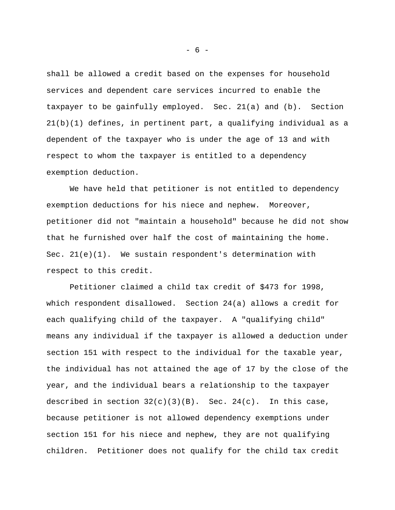shall be allowed a credit based on the expenses for household services and dependent care services incurred to enable the taxpayer to be gainfully employed. Sec. 21(a) and (b). Section 21(b)(1) defines, in pertinent part, a qualifying individual as a dependent of the taxpayer who is under the age of 13 and with respect to whom the taxpayer is entitled to a dependency exemption deduction.

We have held that petitioner is not entitled to dependency exemption deductions for his niece and nephew. Moreover, petitioner did not "maintain a household" because he did not show that he furnished over half the cost of maintaining the home. Sec.  $21(e)(1)$ . We sustain respondent's determination with respect to this credit.

Petitioner claimed a child tax credit of \$473 for 1998, which respondent disallowed. Section 24(a) allows a credit for each qualifying child of the taxpayer. A "qualifying child" means any individual if the taxpayer is allowed a deduction under section 151 with respect to the individual for the taxable year, the individual has not attained the age of 17 by the close of the year, and the individual bears a relationship to the taxpayer described in section  $32(c)(3)(B)$ . Sec.  $24(c)$ . In this case, because petitioner is not allowed dependency exemptions under section 151 for his niece and nephew, they are not qualifying children. Petitioner does not qualify for the child tax credit

- 6 -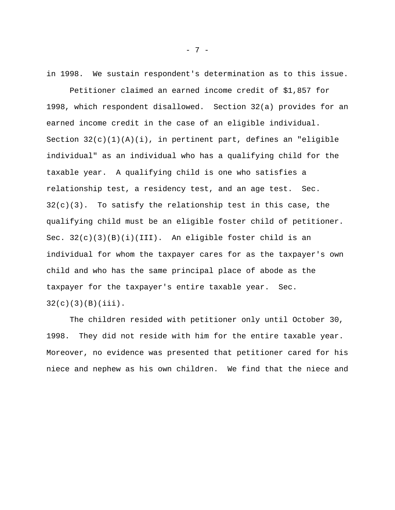in 1998. We sustain respondent's determination as to this issue.

Petitioner claimed an earned income credit of \$1,857 for 1998, which respondent disallowed. Section 32(a) provides for an earned income credit in the case of an eligible individual. Section  $32(c)(1)(A)(i)$ , in pertinent part, defines an "eligible individual" as an individual who has a qualifying child for the taxable year. A qualifying child is one who satisfies a relationship test, a residency test, and an age test. Sec.  $32(c)(3)$ . To satisfy the relationship test in this case, the qualifying child must be an eligible foster child of petitioner. Sec.  $32(c)(3)(B)(i)(III)$ . An eligible foster child is an individual for whom the taxpayer cares for as the taxpayer's own child and who has the same principal place of abode as the taxpayer for the taxpayer's entire taxable year. Sec.  $32(c)(3)(B)(iii)$ .

The children resided with petitioner only until October 30, 1998. They did not reside with him for the entire taxable year. Moreover, no evidence was presented that petitioner cared for his niece and nephew as his own children. We find that the niece and

- 7 -